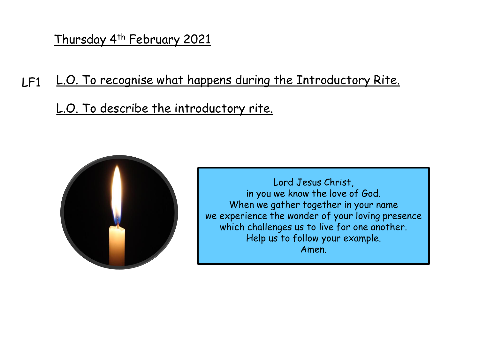Thursday 4th February 2021

- $LF1$ L.O. To recognise what happens during the Introductory Rite.
	- L.O. To describe the introductory rite.



Lord Jesus Christ, in you we know the love of God. When we gather together in your name we experience the wonder of your loving presence which challenges us to live for one another. Help us to follow your example. Amen.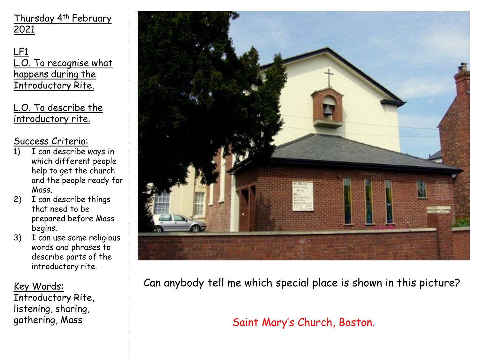Thursday 4th February 2021

LF1 L.O. To recognise what happens during the Introductory Rite.

L.O. To describe the introductory rite.

#### Success Criteria:

- 1) I can describe ways in which different people help to get the church and the people ready for Mass.
- 2) I can describe things that need to be prepared before Mass begins.
- 3) I can use some religious words and phrases to describe parts of the introductory rite.

Key Words: Introductory Rite, listening, sharing, gathering, Mass



Can anybody tell me which special place is shown in this picture?

Saint Mary's Church, Boston.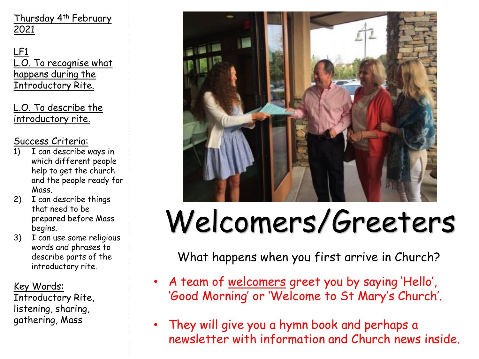LF1 L.O. To recognise what happens during the Introductory Rite.

L.O. To describe the introductory rite.

### Success Criteria:

- 1) I can describe ways in which different people help to get the church and the people ready for Mass.
- 2) I can describe things that need to be prepared before Mass begins.
- 3) I can use some religious words and phrases to describe parts of the introductory rite.

Key Words: Introductory Rite, listening, sharing, gathering, Mass



# Welcomers/Greeters

What happens when you first arrive in Church?

- A team of welcomers greet you by saying 'Hello', 'Good Morning' or 'Welcome to St Mary's Church'.
- They will give you a hymn book and perhaps a newsletter with information and Church news inside.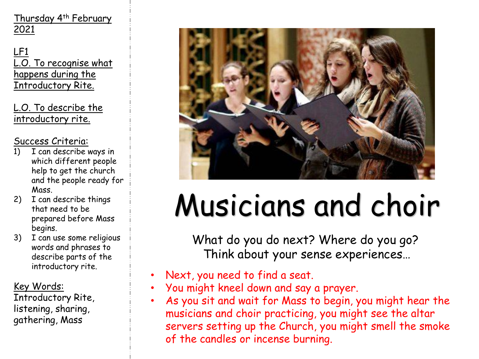LF1 L.O. To recognise what happens during the Introductory Rite.

L.O. To describe the introductory rite.

### Success Criteria:

- 1) I can describe ways in which different people help to get the church and the people ready for Mass.
- 2) I can describe things that need to be prepared before Mass begins.
- 3) I can use some religious words and phrases to describe parts of the introductory rite.

Key Words:

Introductory Rite, listening, sharing, gathering, Mass



# Musicians and choir

What do you do next? Where do you go? Think about your sense experiences…

- Next, you need to find a seat.
- You might kneel down and say a prayer.
- As you sit and wait for Mass to begin, you might hear the musicians and choir practicing, you might see the altar servers setting up the Church, you might smell the smoke of the candles or incense burning.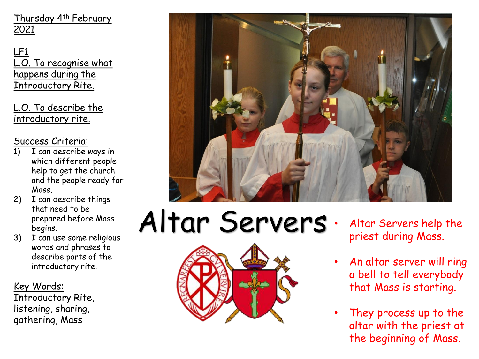LF1 L.O. To recognise what happens during the Introductory Rite.

L.O. To describe the introductory rite.

### Success Criteria:

- 1) I can describe ways in which different people help to get the church and the people ready for Mass.
- 2) I can describe things that need to be prepared before Mass begins.
- 3) I can use some religious words and phrases to describe parts of the introductory rite.

Key Words: Introductory Rite, listening, sharing, gathering, Mass



# Altar Servers · Altar Servers help the



- priest during Mass.
- An altar server will ring a bell to tell everybody that Mass is starting.
- They process up to the altar with the priest at the beginning of Mass.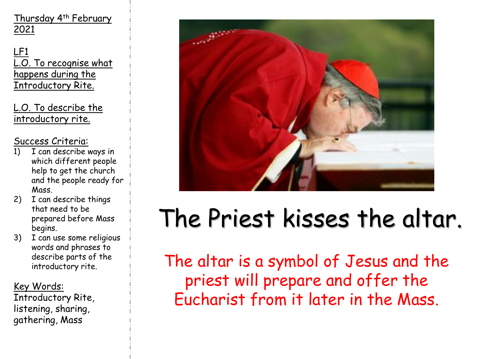LF1 L.O. To recognise what happens during the Introductory Rite.

L.O. To describe the introductory rite.

Success Criteria:

- 1) I can describe ways in which different people help to get the church and the people ready for Mass.
- 2) I can describe things that need to be prepared before Mass begins.
- 3) I can use some religious words and phrases to describe parts of the introductory rite.

Key Words: Introductory Rite, listening, sharing, gathering, Mass



### The Priest kisses the altar.

The altar is a symbol of Jesus and the priest will prepare and offer the Eucharist from it later in the Mass.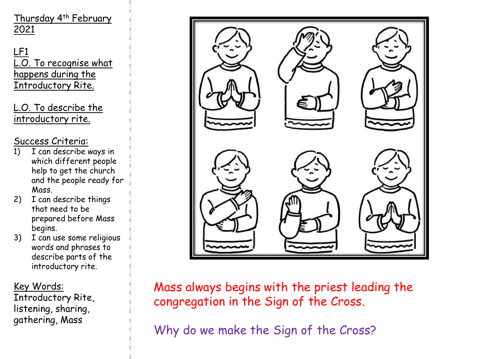LF1 L.O. To recognise what happens during the Introductory Rite.

L.O. To describe the introductory rite.

### Success Criteria:

- 1) I can describe ways in which different people help to get the church and the people ready for Mass.
- 2) I can describe things that need to be prepared before Mass begins.
- 3) I can use some religious words and phrases to describe parts of the introductory rite.

Key Words: Introductory Rite, listening, sharing, gathering, Mass



Mass always begins with the priest leading the congregation in the Sign of the Cross.

Why do we make the Sign of the Cross?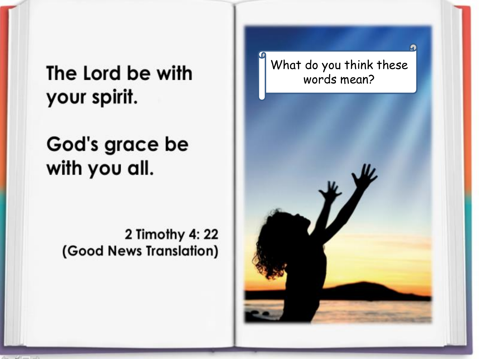The Lord be with your spirit.

God's grace be with you all.

> 2 Timothy 4: 22 (Good News Translation)

What do you think these words mean?